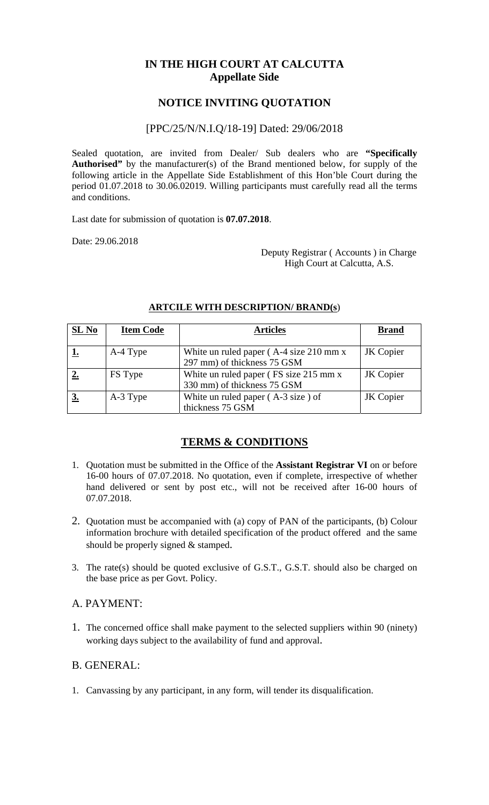# **IN THE HIGH COURT AT CALCUTTA Appellate Side**

## **NOTICE INVITING QUOTATION**

#### [PPC/25/N/N.I.Q/18-19] Dated: 29/06/2018

Sealed quotation, are invited from Dealer/ Sub dealers who are **"Specifically Authorised"** by the manufacturer(s) of the Brand mentioned below, for supply of the following article in the Appellate Side Establishment of this Hon'ble Court during the period 01.07.2018 to 30.06.02019. Willing participants must carefully read all the terms and conditions.

Last date for submission of quotation is **07.07.2018**.

Date: 29.06.2018

 Deputy Registrar ( Accounts ) in Charge High Court at Calcutta, A.S.

| SL No | <b>Item Code</b> | <b>Articles</b>                                                                             | <b>Brand</b> |
|-------|------------------|---------------------------------------------------------------------------------------------|--------------|
|       | A-4 Type         | White un ruled paper $(A-4 \text{ size } 210 \text{ mm } x)$<br>297 mm) of thickness 75 GSM | JK Copier    |
|       | FS Type          | White un ruled paper (FS size 215 mm x)<br>330 mm) of thickness 75 GSM                      | JK Copier    |
|       | A-3 Type         | White un ruled paper $(A-3 size)$ of<br>thickness 75 GSM                                    | JK Copier    |

#### **ARTCILE WITH DESCRIPTION/ BRAND(s**)

## **TERMS & CONDITIONS**

- 1. Quotation must be submitted in the Office of the **Assistant Registrar VI** on or before 16-00 hours of 07.07.2018. No quotation, even if complete, irrespective of whether hand delivered or sent by post etc., will not be received after 16-00 hours of 07.07.2018.
- 2. Quotation must be accompanied with (a) copy of PAN of the participants, (b) Colour information brochure with detailed specification of the product offered and the same should be properly signed & stamped.
- 3. The rate(s) should be quoted exclusive of G.S.T., G.S.T. should also be charged on the base price as per Govt. Policy.

## A. PAYMENT:

1. The concerned office shall make payment to the selected suppliers within 90 (ninety) working days subject to the availability of fund and approval.

## B. GENERAL:

1. Canvassing by any participant, in any form, will tender its disqualification.